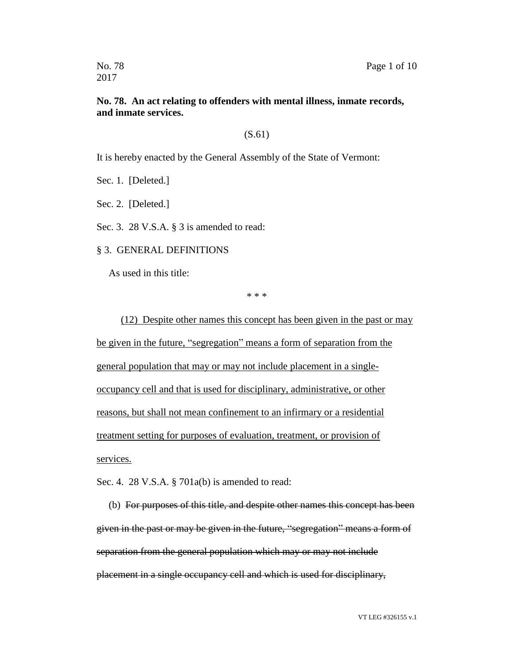2017

### **No. 78. An act relating to offenders with mental illness, inmate records, and inmate services.**

### (S.61)

It is hereby enacted by the General Assembly of the State of Vermont:

Sec. 1. [Deleted.]

Sec. 2. [Deleted.]

Sec. 3. 28 V.S.A. § 3 is amended to read:

#### § 3. GENERAL DEFINITIONS

As used in this title:

\* \* \*

(12) Despite other names this concept has been given in the past or may be given in the future, "segregation" means a form of separation from the general population that may or may not include placement in a singleoccupancy cell and that is used for disciplinary, administrative, or other reasons, but shall not mean confinement to an infirmary or a residential treatment setting for purposes of evaluation, treatment, or provision of services.

Sec. 4. 28 V.S.A. § 701a(b) is amended to read:

(b) For purposes of this title, and despite other names this concept has been given in the past or may be given in the future, "segregation" means a form of separation from the general population which may or may not include placement in a single occupancy cell and which is used for disciplinary,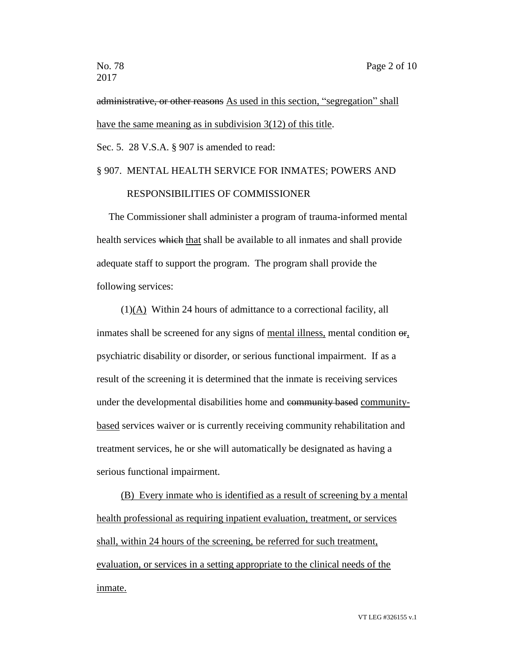administrative, or other reasons As used in this section, "segregation" shall have the same meaning as in subdivision 3(12) of this title.

Sec. 5. 28 V.S.A. § 907 is amended to read:

## § 907. MENTAL HEALTH SERVICE FOR INMATES; POWERS AND

### RESPONSIBILITIES OF COMMISSIONER

The Commissioner shall administer a program of trauma-informed mental health services which that shall be available to all inmates and shall provide adequate staff to support the program. The program shall provide the following services:

(1)(A) Within 24 hours of admittance to a correctional facility, all inmates shall be screened for any signs of mental illness, mental condition  $\Theta$ . psychiatric disability or disorder, or serious functional impairment. If as a result of the screening it is determined that the inmate is receiving services under the developmental disabilities home and community based communitybased services waiver or is currently receiving community rehabilitation and treatment services, he or she will automatically be designated as having a serious functional impairment.

(B) Every inmate who is identified as a result of screening by a mental health professional as requiring inpatient evaluation, treatment, or services shall, within 24 hours of the screening, be referred for such treatment, evaluation, or services in a setting appropriate to the clinical needs of the inmate.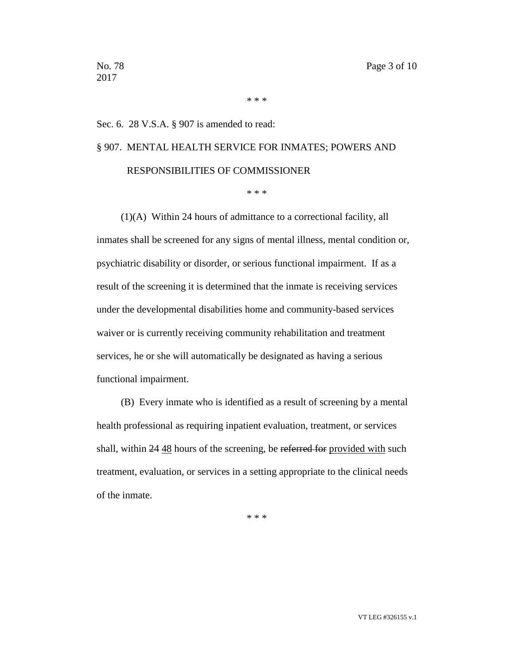\* \* \*

#### Sec. 6. 28 V.S.A. § 907 is amended to read:

# § 907. MENTAL HEALTH SERVICE FOR INMATES; POWERS AND RESPONSIBILITIES OF COMMISSIONER

\* \* \*

(1)(A) Within 24 hours of admittance to a correctional facility, all inmates shall be screened for any signs of mental illness, mental condition or, psychiatric disability or disorder, or serious functional impairment. If as a result of the screening it is determined that the inmate is receiving services under the developmental disabilities home and community-based services waiver or is currently receiving community rehabilitation and treatment services, he or she will automatically be designated as having a serious functional impairment.

(B) Every inmate who is identified as a result of screening by a mental health professional as requiring inpatient evaluation, treatment, or services shall, within 24 48 hours of the screening, be referred for provided with such treatment, evaluation, or services in a setting appropriate to the clinical needs of the inmate.

\* \* \*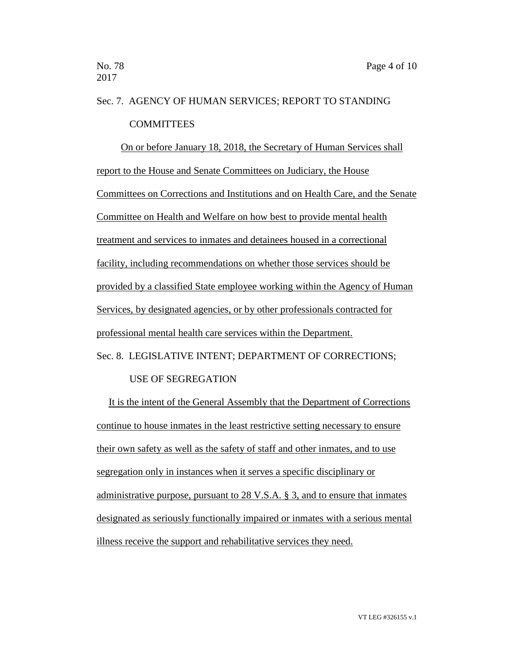# Sec. 7. AGENCY OF HUMAN SERVICES; REPORT TO STANDING **COMMITTEES**

On or before January 18, 2018, the Secretary of Human Services shall report to the House and Senate Committees on Judiciary, the House Committees on Corrections and Institutions and on Health Care, and the Senate Committee on Health and Welfare on how best to provide mental health treatment and services to inmates and detainees housed in a correctional facility, including recommendations on whether those services should be provided by a classified State employee working within the Agency of Human Services, by designated agencies, or by other professionals contracted for professional mental health care services within the Department. Sec. 8. LEGISLATIVE INTENT; DEPARTMENT OF CORRECTIONS;

### USE OF SEGREGATION

It is the intent of the General Assembly that the Department of Corrections continue to house inmates in the least restrictive setting necessary to ensure their own safety as well as the safety of staff and other inmates, and to use segregation only in instances when it serves a specific disciplinary or administrative purpose, pursuant to 28 V.S.A. § 3, and to ensure that inmates designated as seriously functionally impaired or inmates with a serious mental illness receive the support and rehabilitative services they need.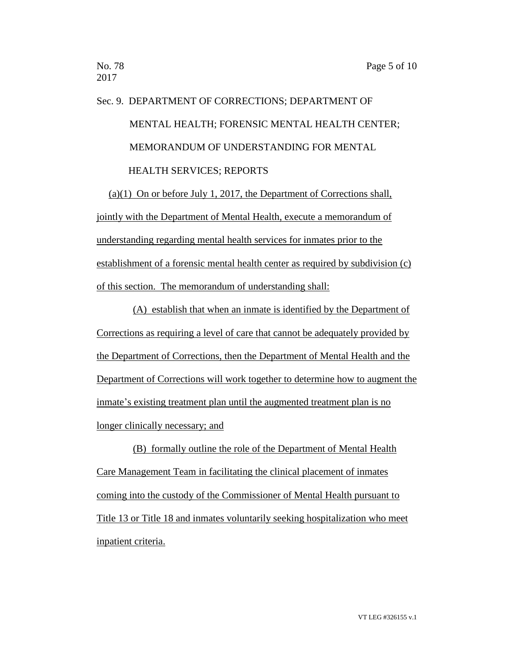# Sec. 9. DEPARTMENT OF CORRECTIONS; DEPARTMENT OF MENTAL HEALTH; FORENSIC MENTAL HEALTH CENTER; MEMORANDUM OF UNDERSTANDING FOR MENTAL HEALTH SERVICES; REPORTS

(a)(1) On or before July 1, 2017, the Department of Corrections shall, jointly with the Department of Mental Health, execute a memorandum of understanding regarding mental health services for inmates prior to the establishment of a forensic mental health center as required by subdivision (c) of this section. The memorandum of understanding shall:

(A) establish that when an inmate is identified by the Department of Corrections as requiring a level of care that cannot be adequately provided by the Department of Corrections, then the Department of Mental Health and the Department of Corrections will work together to determine how to augment the inmate's existing treatment plan until the augmented treatment plan is no longer clinically necessary; and

(B) formally outline the role of the Department of Mental Health Care Management Team in facilitating the clinical placement of inmates coming into the custody of the Commissioner of Mental Health pursuant to Title 13 or Title 18 and inmates voluntarily seeking hospitalization who meet inpatient criteria.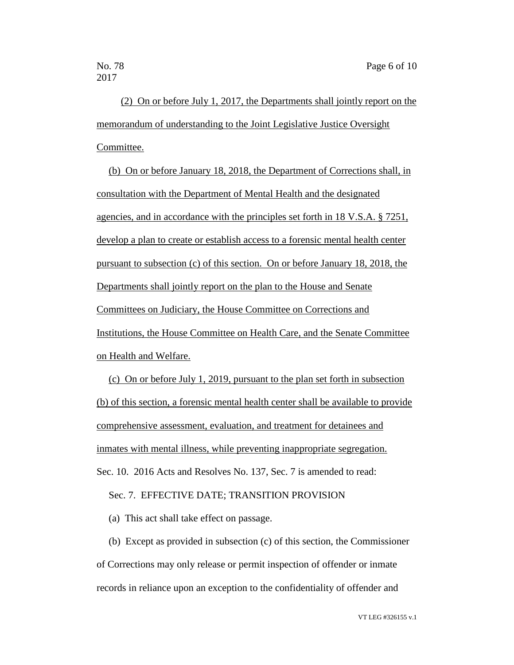(2) On or before July 1, 2017, the Departments shall jointly report on the memorandum of understanding to the Joint Legislative Justice Oversight Committee.

(b) On or before January 18, 2018, the Department of Corrections shall, in consultation with the Department of Mental Health and the designated agencies, and in accordance with the principles set forth in 18 V.S.A. § 7251, develop a plan to create or establish access to a forensic mental health center pursuant to subsection (c) of this section. On or before January 18, 2018, the Departments shall jointly report on the plan to the House and Senate Committees on Judiciary, the House Committee on Corrections and Institutions, the House Committee on Health Care, and the Senate Committee on Health and Welfare.

(c) On or before July 1, 2019, pursuant to the plan set forth in subsection (b) of this section, a forensic mental health center shall be available to provide comprehensive assessment, evaluation, and treatment for detainees and inmates with mental illness, while preventing inappropriate segregation. Sec. 10. 2016 Acts and Resolves No. 137, Sec. 7 is amended to read:

Sec. 7. EFFECTIVE DATE; TRANSITION PROVISION

(a) This act shall take effect on passage.

(b) Except as provided in subsection (c) of this section, the Commissioner of Corrections may only release or permit inspection of offender or inmate records in reliance upon an exception to the confidentiality of offender and

VT LEG #326155 v.1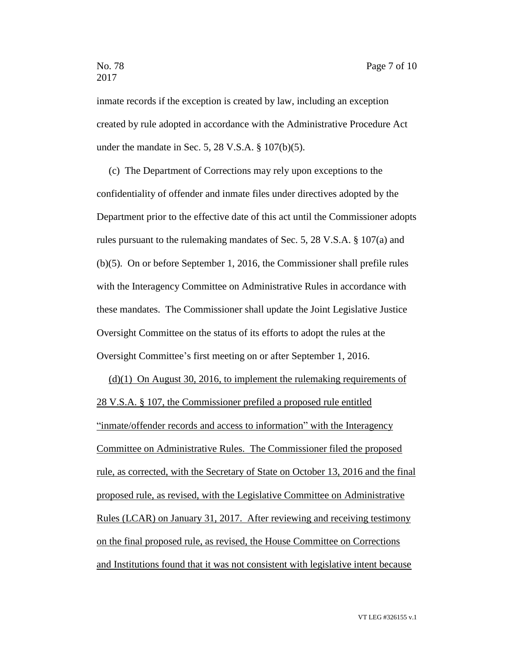# 2017

inmate records if the exception is created by law, including an exception created by rule adopted in accordance with the Administrative Procedure Act under the mandate in Sec. 5, 28 V.S.A. § 107(b)(5).

(c) The Department of Corrections may rely upon exceptions to the confidentiality of offender and inmate files under directives adopted by the Department prior to the effective date of this act until the Commissioner adopts rules pursuant to the rulemaking mandates of Sec. 5, 28 V.S.A. § 107(a) and (b)(5). On or before September 1, 2016, the Commissioner shall prefile rules with the Interagency Committee on Administrative Rules in accordance with these mandates. The Commissioner shall update the Joint Legislative Justice Oversight Committee on the status of its efforts to adopt the rules at the Oversight Committee's first meeting on or after September 1, 2016.

(d)(1) On August 30, 2016, to implement the rulemaking requirements of 28 V.S.A. § 107, the Commissioner prefiled a proposed rule entitled "inmate/offender records and access to information" with the Interagency Committee on Administrative Rules. The Commissioner filed the proposed rule, as corrected, with the Secretary of State on October 13, 2016 and the final proposed rule, as revised, with the Legislative Committee on Administrative Rules (LCAR) on January 31, 2017. After reviewing and receiving testimony on the final proposed rule, as revised, the House Committee on Corrections and Institutions found that it was not consistent with legislative intent because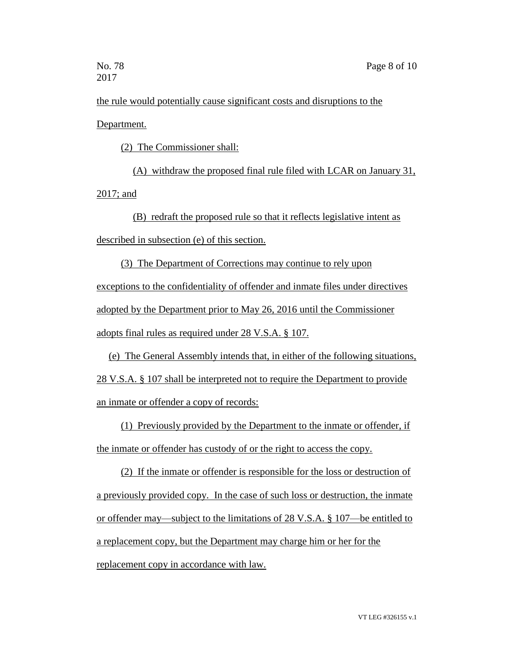the rule would potentially cause significant costs and disruptions to the Department.

(2) The Commissioner shall:

(A) withdraw the proposed final rule filed with LCAR on January 31, 2017; and

(B) redraft the proposed rule so that it reflects legislative intent as described in subsection (e) of this section.

(3) The Department of Corrections may continue to rely upon exceptions to the confidentiality of offender and inmate files under directives adopted by the Department prior to May 26, 2016 until the Commissioner adopts final rules as required under 28 V.S.A. § 107.

(e) The General Assembly intends that, in either of the following situations, 28 V.S.A. § 107 shall be interpreted not to require the Department to provide an inmate or offender a copy of records:

(1) Previously provided by the Department to the inmate or offender, if the inmate or offender has custody of or the right to access the copy.

(2) If the inmate or offender is responsible for the loss or destruction of a previously provided copy. In the case of such loss or destruction, the inmate or offender may—subject to the limitations of 28 V.S.A. § 107—be entitled to a replacement copy, but the Department may charge him or her for the replacement copy in accordance with law.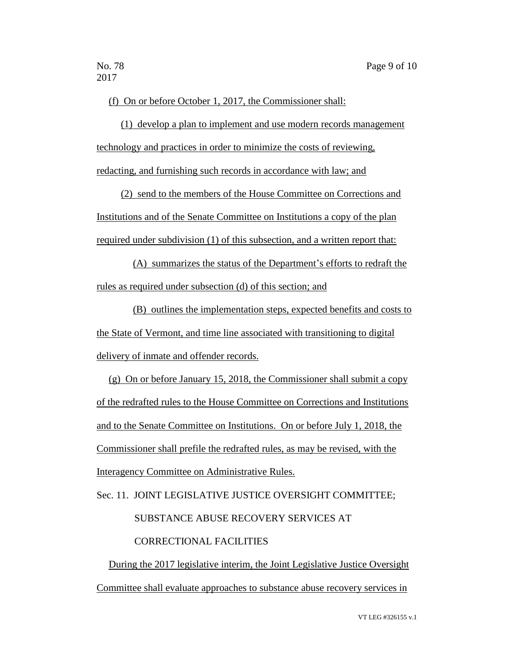(f) On or before October 1, 2017, the Commissioner shall:

(1) develop a plan to implement and use modern records management technology and practices in order to minimize the costs of reviewing, redacting, and furnishing such records in accordance with law; and

(2) send to the members of the House Committee on Corrections and Institutions and of the Senate Committee on Institutions a copy of the plan required under subdivision (1) of this subsection, and a written report that:

(A) summarizes the status of the Department's efforts to redraft the rules as required under subsection (d) of this section; and

(B) outlines the implementation steps, expected benefits and costs to the State of Vermont, and time line associated with transitioning to digital delivery of inmate and offender records.

(g) On or before January 15, 2018, the Commissioner shall submit a copy of the redrafted rules to the House Committee on Corrections and Institutions and to the Senate Committee on Institutions. On or before July 1, 2018, the Commissioner shall prefile the redrafted rules, as may be revised, with the Interagency Committee on Administrative Rules.

Sec. 11. JOINT LEGISLATIVE JUSTICE OVERSIGHT COMMITTEE;

SUBSTANCE ABUSE RECOVERY SERVICES AT

### CORRECTIONAL FACILITIES

During the 2017 legislative interim, the Joint Legislative Justice Oversight Committee shall evaluate approaches to substance abuse recovery services in